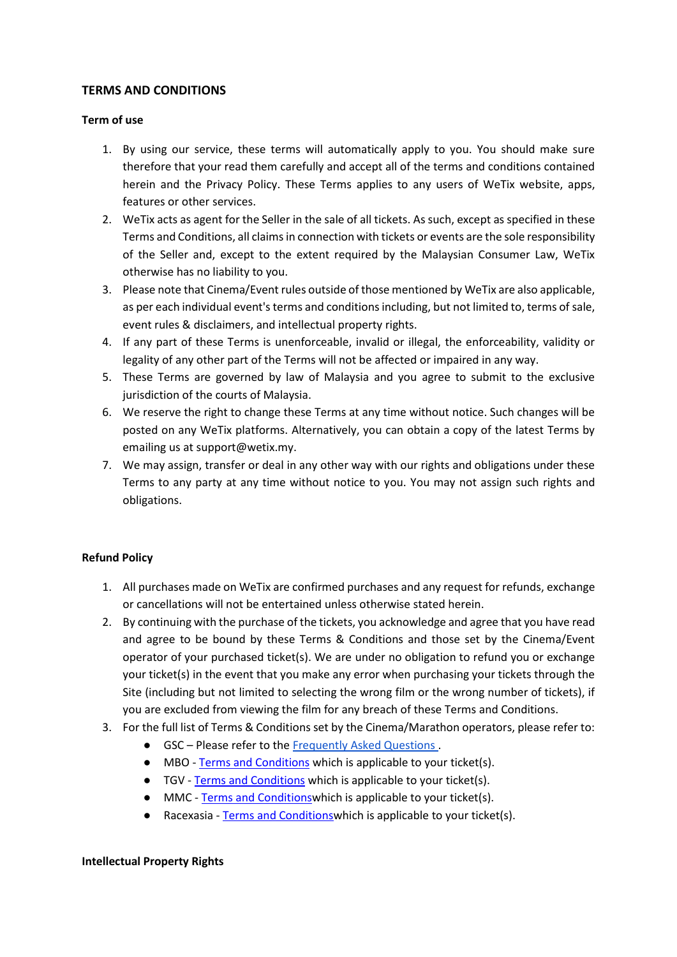# **TERMS AND CONDITIONS**

#### **Term of use**

- 1. By using our service, these terms will automatically apply to you. You should make sure therefore that your read them carefully and accept all of the terms and conditions contained herein and the Privacy Policy. These Terms applies to any users of WeTix website, apps, features or other services.
- 2. WeTix acts as agent for the Seller in the sale of all tickets. As such, except as specified in these Terms and Conditions, all claims in connection with tickets or events are the sole responsibility of the Seller and, except to the extent required by the Malaysian Consumer Law, WeTix otherwise has no liability to you.
- 3. Please note that Cinema/Event rules outside of those mentioned by WeTix are also applicable, as per each individual event's terms and conditions including, but not limited to, terms of sale, event rules & disclaimers, and intellectual property rights.
- 4. If any part of these Terms is unenforceable, invalid or illegal, the enforceability, validity or legality of any other part of the Terms will not be affected or impaired in any way.
- 5. These Terms are governed by law of Malaysia and you agree to submit to the exclusive jurisdiction of the courts of Malaysia.
- 6. We reserve the right to change these Terms at any time without notice. Such changes will be posted on any WeTix platforms. Alternatively, you can obtain a copy of the latest Terms by emailing us at support@wetix.my.
- 7. We may assign, transfer or deal in any other way with our rights and obligations under these Terms to any party at any time without notice to you. You may not assign such rights and obligations.

# **Refund Policy**

- 1. All purchases made on WeTix are confirmed purchases and any request for refunds, exchange or cancellations will not be entertained unless otherwise stated herein.
- 2. By continuing with the purchase of the tickets, you acknowledge and agree that you have read and agree to be bound by these Terms & Conditions and those set by the Cinema/Event operator of your purchased ticket(s). We are under no obligation to refund you or exchange your ticket(s) in the event that you make any error when purchasing your tickets through the Site (including but not limited to selecting the wrong film or the wrong number of tickets), if you are excluded from viewing the film for any breach of these Terms and Conditions.
- 3. For the full list of Terms & Conditions set by the Cinema/Marathon operators, please refer to:
	- GSC Please refer to the [Frequently Asked Questions .](https://www.gsc.com.my/main/faq)
	- MBO [Terms and Conditions](https://www.mbocinemas.com/TermsAndConditions.aspx) which is applicable to your ticket(s).
	- TGV [Terms and Conditions](https://www.tgv.com.my/terms-conditions/) which is applicable to your ticket(s).
	- MMC [Terms and Conditionsw](https://www.tgv.com.my/terms-conditions/)hich is applicable to your ticket(s).
	- Racexasia Terms and Conditions which is applicable to your ticket(s).

# **Intellectual Property Rights**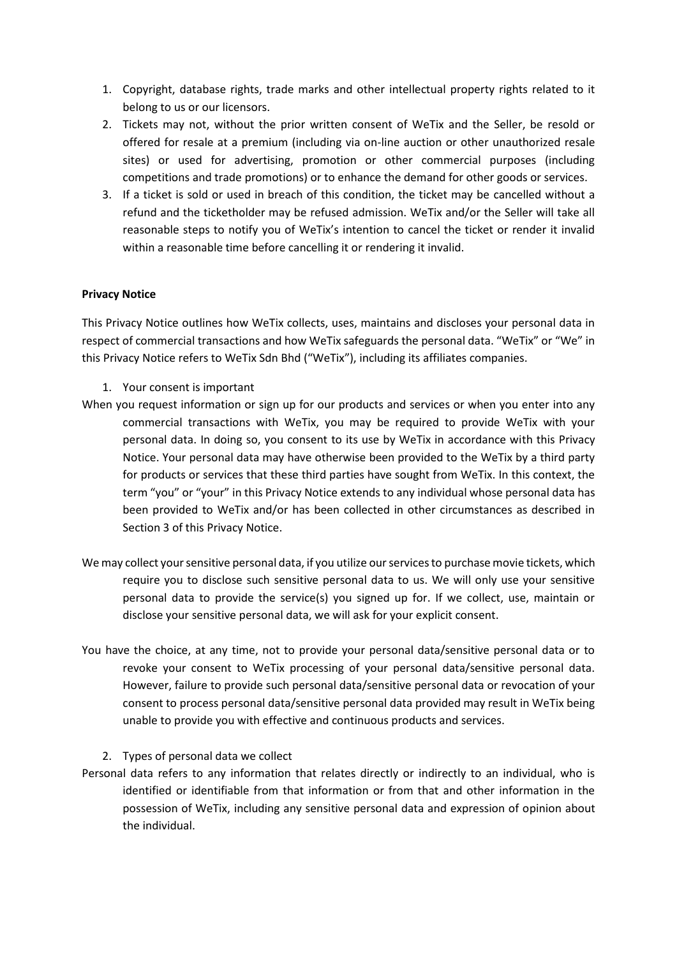- 1. Copyright, database rights, trade marks and other intellectual property rights related to it belong to us or our licensors.
- 2. Tickets may not, without the prior written consent of WeTix and the Seller, be resold or offered for resale at a premium (including via on-line auction or other unauthorized resale sites) or used for advertising, promotion or other commercial purposes (including competitions and trade promotions) or to enhance the demand for other goods or services.
- 3. If a ticket is sold or used in breach of this condition, the ticket may be cancelled without a refund and the ticketholder may be refused admission. WeTix and/or the Seller will take all reasonable steps to notify you of WeTix's intention to cancel the ticket or render it invalid within a reasonable time before cancelling it or rendering it invalid.

#### **Privacy Notice**

This Privacy Notice outlines how WeTix collects, uses, maintains and discloses your personal data in respect of commercial transactions and how WeTix safeguards the personal data. "WeTix" or "We" in this Privacy Notice refers to WeTix Sdn Bhd ("WeTix"), including its affiliates companies.

- 1. Your consent is important
- When you request information or sign up for our products and services or when you enter into any commercial transactions with WeTix, you may be required to provide WeTix with your personal data. In doing so, you consent to its use by WeTix in accordance with this Privacy Notice. Your personal data may have otherwise been provided to the WeTix by a third party for products or services that these third parties have sought from WeTix. In this context, the term "you" or "your" in this Privacy Notice extends to any individual whose personal data has been provided to WeTix and/or has been collected in other circumstances as described in Section 3 of this Privacy Notice.
- We may collect your sensitive personal data, if you utilize our services to purchase movie tickets, which require you to disclose such sensitive personal data to us. We will only use your sensitive personal data to provide the service(s) you signed up for. If we collect, use, maintain or disclose your sensitive personal data, we will ask for your explicit consent.
- You have the choice, at any time, not to provide your personal data/sensitive personal data or to revoke your consent to WeTix processing of your personal data/sensitive personal data. However, failure to provide such personal data/sensitive personal data or revocation of your consent to process personal data/sensitive personal data provided may result in WeTix being unable to provide you with effective and continuous products and services.
	- 2. Types of personal data we collect
- Personal data refers to any information that relates directly or indirectly to an individual, who is identified or identifiable from that information or from that and other information in the possession of WeTix, including any sensitive personal data and expression of opinion about the individual.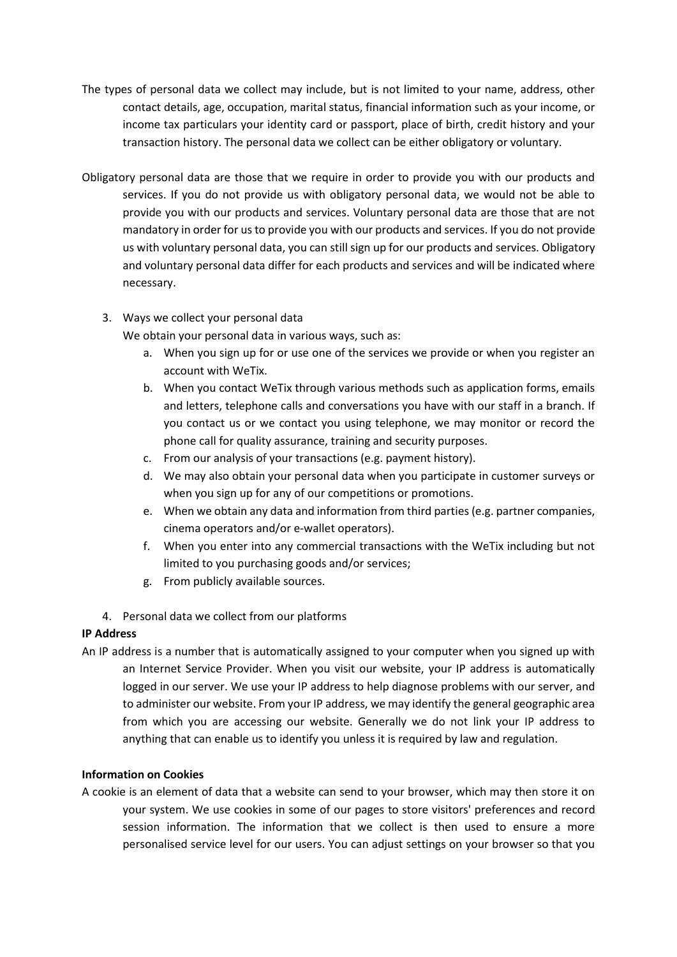- The types of personal data we collect may include, but is not limited to your name, address, other contact details, age, occupation, marital status, financial information such as your income, or income tax particulars your identity card or passport, place of birth, credit history and your transaction history. The personal data we collect can be either obligatory or voluntary.
- Obligatory personal data are those that we require in order to provide you with our products and services. If you do not provide us with obligatory personal data, we would not be able to provide you with our products and services. Voluntary personal data are those that are not mandatory in order for us to provide you with our products and services. If you do not provide us with voluntary personal data, you can still sign up for our products and services. Obligatory and voluntary personal data differ for each products and services and will be indicated where necessary.
	- 3. Ways we collect your personal data

We obtain your personal data in various ways, such as:

- a. When you sign up for or use one of the services we provide or when you register an account with WeTix.
- b. When you contact WeTix through various methods such as application forms, emails and letters, telephone calls and conversations you have with our staff in a branch. If you contact us or we contact you using telephone, we may monitor or record the phone call for quality assurance, training and security purposes.
- c. From our analysis of your transactions (e.g. payment history).
- d. We may also obtain your personal data when you participate in customer surveys or when you sign up for any of our competitions or promotions.
- e. When we obtain any data and information from third parties (e.g. partner companies, cinema operators and/or e-wallet operators).
- f. When you enter into any commercial transactions with the WeTix including but not limited to you purchasing goods and/or services;
- g. From publicly available sources.
- 4. Personal data we collect from our platforms

# **IP Address**

An IP address is a number that is automatically assigned to your computer when you signed up with an Internet Service Provider. When you visit our website, your IP address is automatically logged in our server. We use your IP address to help diagnose problems with our server, and to administer our website. From your IP address, we may identify the general geographic area from which you are accessing our website. Generally we do not link your IP address to anything that can enable us to identify you unless it is required by law and regulation.

# **Information on Cookies**

A cookie is an element of data that a website can send to your browser, which may then store it on your system. We use cookies in some of our pages to store visitors' preferences and record session information. The information that we collect is then used to ensure a more personalised service level for our users. You can adjust settings on your browser so that you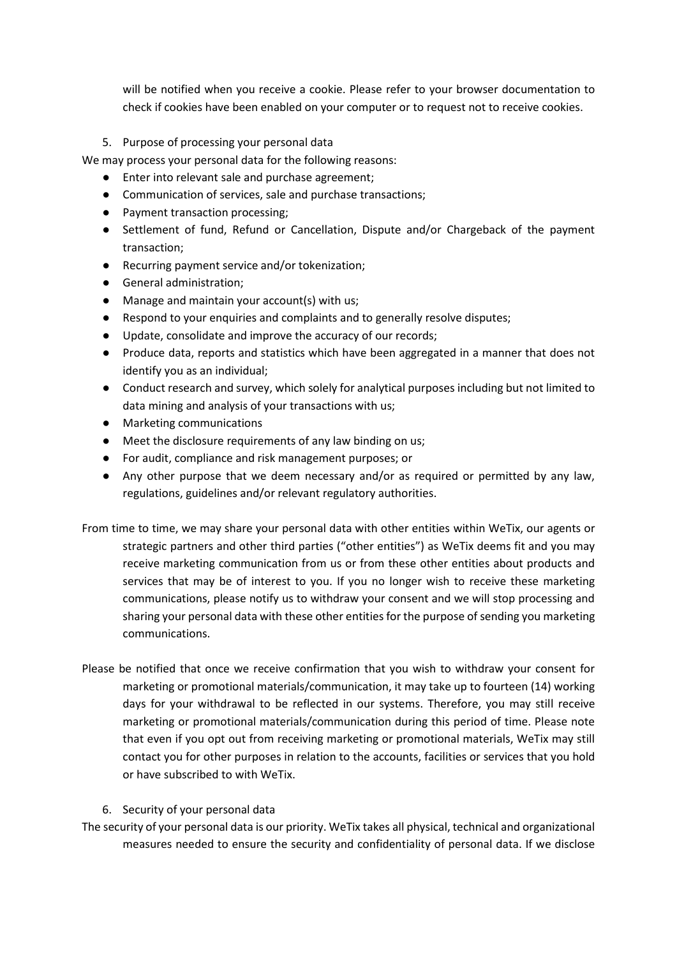will be notified when you receive a cookie. Please refer to your browser documentation to check if cookies have been enabled on your computer or to request not to receive cookies.

### 5. Purpose of processing your personal data

We may process your personal data for the following reasons:

- Enter into relevant sale and purchase agreement;
- Communication of services, sale and purchase transactions;
- Payment transaction processing;
- Settlement of fund, Refund or Cancellation, Dispute and/or Chargeback of the payment transaction;
- Recurring payment service and/or tokenization;
- General administration;
- Manage and maintain your account(s) with us;
- Respond to your enquiries and complaints and to generally resolve disputes;
- Update, consolidate and improve the accuracy of our records;
- Produce data, reports and statistics which have been aggregated in a manner that does not identify you as an individual;
- Conduct research and survey, which solely for analytical purposes including but not limited to data mining and analysis of your transactions with us;
- Marketing communications
- Meet the disclosure requirements of any law binding on us;
- For audit, compliance and risk management purposes; or
- Any other purpose that we deem necessary and/or as required or permitted by any law, regulations, guidelines and/or relevant regulatory authorities.
- From time to time, we may share your personal data with other entities within WeTix, our agents or strategic partners and other third parties ("other entities") as WeTix deems fit and you may receive marketing communication from us or from these other entities about products and services that may be of interest to you. If you no longer wish to receive these marketing communications, please notify us to withdraw your consent and we will stop processing and sharing your personal data with these other entities for the purpose of sending you marketing communications.
- Please be notified that once we receive confirmation that you wish to withdraw your consent for marketing or promotional materials/communication, it may take up to fourteen (14) working days for your withdrawal to be reflected in our systems. Therefore, you may still receive marketing or promotional materials/communication during this period of time. Please note that even if you opt out from receiving marketing or promotional materials, WeTix may still contact you for other purposes in relation to the accounts, facilities or services that you hold or have subscribed to with WeTix.

#### 6. Security of your personal data

The security of your personal data is our priority. WeTix takes all physical, technical and organizational measures needed to ensure the security and confidentiality of personal data. If we disclose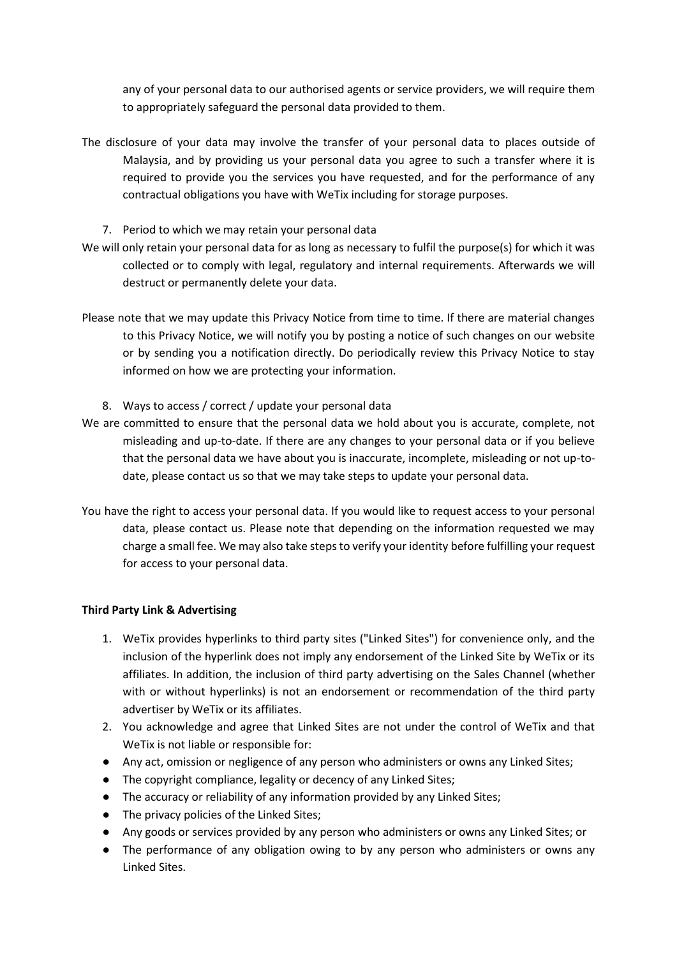any of your personal data to our authorised agents or service providers, we will require them to appropriately safeguard the personal data provided to them.

- The disclosure of your data may involve the transfer of your personal data to places outside of Malaysia, and by providing us your personal data you agree to such a transfer where it is required to provide you the services you have requested, and for the performance of any contractual obligations you have with WeTix including for storage purposes.
	- 7. Period to which we may retain your personal data
- We will only retain your personal data for as long as necessary to fulfil the purpose(s) for which it was collected or to comply with legal, regulatory and internal requirements. Afterwards we will destruct or permanently delete your data.
- Please note that we may update this Privacy Notice from time to time. If there are material changes to this Privacy Notice, we will notify you by posting a notice of such changes on our website or by sending you a notification directly. Do periodically review this Privacy Notice to stay informed on how we are protecting your information.
	- 8. Ways to access / correct / update your personal data
- We are committed to ensure that the personal data we hold about you is accurate, complete, not misleading and up-to-date. If there are any changes to your personal data or if you believe that the personal data we have about you is inaccurate, incomplete, misleading or not up-todate, please contact us so that we may take steps to update your personal data.
- You have the right to access your personal data. If you would like to request access to your personal data, please contact us. Please note that depending on the information requested we may charge a small fee. We may also take steps to verify your identity before fulfilling your request for access to your personal data.

#### **Third Party Link & Advertising**

- 1. WeTix provides hyperlinks to third party sites ("Linked Sites") for convenience only, and the inclusion of the hyperlink does not imply any endorsement of the Linked Site by WeTix or its affiliates. In addition, the inclusion of third party advertising on the Sales Channel (whether with or without hyperlinks) is not an endorsement or recommendation of the third party advertiser by WeTix or its affiliates.
- 2. You acknowledge and agree that Linked Sites are not under the control of WeTix and that WeTix is not liable or responsible for:
- Any act, omission or negligence of any person who administers or owns any Linked Sites;
- The copyright compliance, legality or decency of any Linked Sites;
- The accuracy or reliability of any information provided by any Linked Sites;
- The privacy policies of the Linked Sites;
- Any goods or services provided by any person who administers or owns any Linked Sites; or
- The performance of any obligation owing to by any person who administers or owns any Linked Sites.